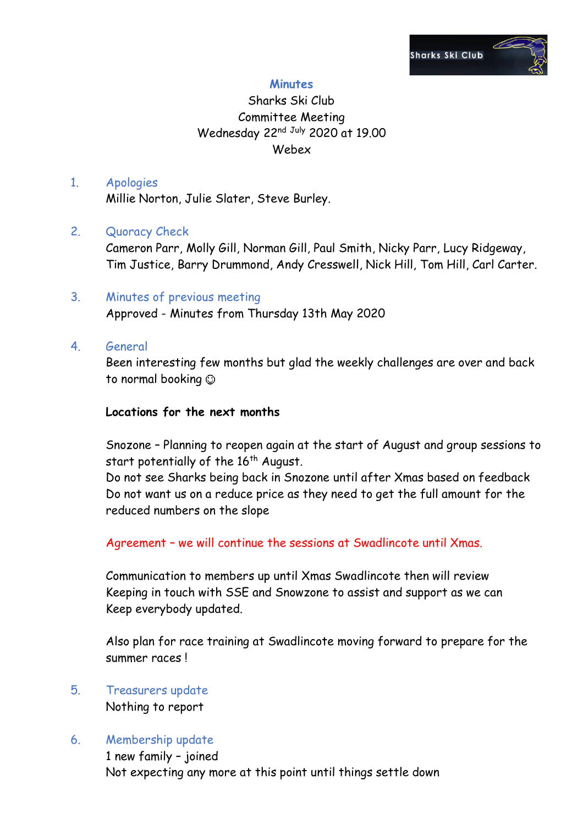

### **Minutes**

## Sharks Ski Club Committee Meeting Wednesday 22<sup>nd July</sup> 2020 at 19.00 Webex

#### 1. Apologies

Millie Norton, Julie Slater, Steve Burley.

### 2. Quoracy Check

Cameron Parr, Molly Gill, Norman Gill, Paul Smith, Nicky Parr, Lucy Ridgeway, Tim Justice, Barry Drummond, Andy Cresswell, Nick Hill, Tom Hill, Carl Carter.

# 3. Minutes of previous meeting

Approved - Minutes from Thursday 13th May 2020

4. General

Been interesting few months but glad the weekly challenges are over and back to normal booking

#### **Locations for the next months**

Snozone – Planning to reopen again at the start of August and group sessions to start potentially of the  $16<sup>th</sup>$  August.

Do not see Sharks being back in Snozone until after Xmas based on feedback Do not want us on a reduce price as they need to get the full amount for the reduced numbers on the slope

Agreement – we will continue the sessions at Swadlincote until Xmas.

Communication to members up until Xmas Swadlincote then will review Keeping in touch with SSE and Snowzone to assist and support as we can Keep everybody updated.

Also plan for race training at Swadlincote moving forward to prepare for the summer races !

5. Treasurers update Nothing to report

### 6. Membership update

1 new family – joined Not expecting any more at this point until things settle down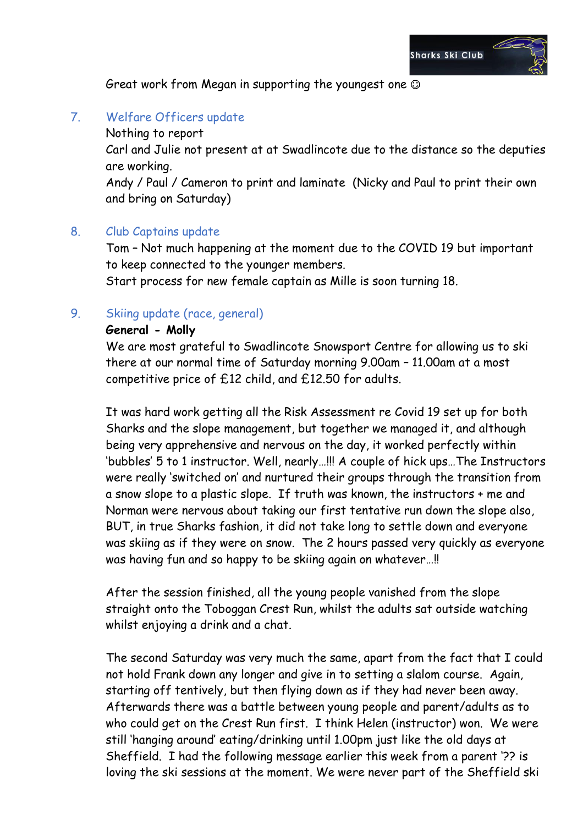

Great work from Megan in supporting the youngest one

## 7. Welfare Officers update

Nothing to report

Carl and Julie not present at at Swadlincote due to the distance so the deputies are working.

Andy / Paul / Cameron to print and laminate (Nicky and Paul to print their own and bring on Saturday)

#### 8. Club Captains update

Tom – Not much happening at the moment due to the COVID 19 but important to keep connected to the younger members.

Start process for new female captain as Mille is soon turning 18.

### 9. Skiing update (race, general)

#### **General - Molly**

We are most grateful to Swadlincote Snowsport Centre for allowing us to ski there at our normal time of Saturday morning 9.00am – 11.00am at a most competitive price of £12 child, and £12.50 for adults.

It was hard work getting all the Risk Assessment re Covid 19 set up for both Sharks and the slope management, but together we managed it, and although being very apprehensive and nervous on the day, it worked perfectly within 'bubbles' 5 to 1 instructor. Well, nearly…!!! A couple of hick ups…The Instructors were really 'switched on' and nurtured their groups through the transition from a snow slope to a plastic slope. If truth was known, the instructors + me and Norman were nervous about taking our first tentative run down the slope also, BUT, in true Sharks fashion, it did not take long to settle down and everyone was skiing as if they were on snow. The 2 hours passed very quickly as everyone was having fun and so happy to be skiing again on whatever…!!

After the session finished, all the young people vanished from the slope straight onto the Toboggan Crest Run, whilst the adults sat outside watching whilst enjoying a drink and a chat.

The second Saturday was very much the same, apart from the fact that I could not hold Frank down any longer and give in to setting a slalom course. Again, starting off tentively, but then flying down as if they had never been away. Afterwards there was a battle between young people and parent/adults as to who could get on the Crest Run first. I think Helen (instructor) won. We were still 'hanging around' eating/drinking until 1.00pm just like the old days at Sheffield. I had the following message earlier this week from a parent '?? is loving the ski sessions at the moment. We were never part of the Sheffield ski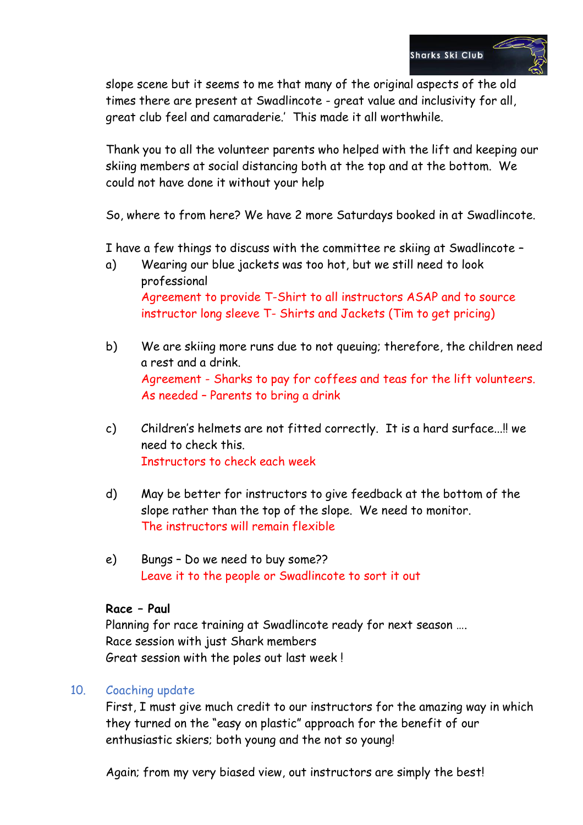

slope scene but it seems to me that many of the original aspects of the old times there are present at Swadlincote - great value and inclusivity for all, great club feel and camaraderie.' This made it all worthwhile.

Thank you to all the volunteer parents who helped with the lift and keeping our skiing members at social distancing both at the top and at the bottom. We could not have done it without your help

So, where to from here? We have 2 more Saturdays booked in at Swadlincote.

I have a few things to discuss with the committee re skiing at Swadlincote –

- a) Wearing our blue jackets was too hot, but we still need to look professional Agreement to provide T-Shirt to all instructors ASAP and to source instructor long sleeve T- Shirts and Jackets (Tim to get pricing)
- b) We are skiing more runs due to not queuing; therefore, the children need a rest and a drink. Agreement - Sharks to pay for coffees and teas for the lift volunteers. As needed – Parents to bring a drink
- c) Children's helmets are not fitted correctly. It is a hard surface...!! we need to check this. Instructors to check each week
- d) May be better for instructors to give feedback at the bottom of the slope rather than the top of the slope. We need to monitor. The instructors will remain flexible
- e) Bungs Do we need to buy some?? Leave it to the people or Swadlincote to sort it out

#### **Race – Paul**

Planning for race training at Swadlincote ready for next season …. Race session with just Shark members Great session with the poles out last week !

#### 10. Coaching update

First, I must give much credit to our instructors for the amazing way in which they turned on the "easy on plastic" approach for the benefit of our enthusiastic skiers; both young and the not so young!

Again; from my very biased view, out instructors are simply the best!